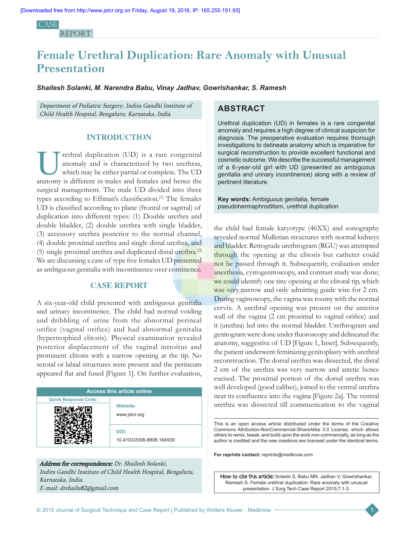CA<sub>SE</sub> **REPORT** 

# **Female Urethral Duplication: Rare Anomaly with Unusual Presentation**

*Shailesh Solanki, M. Narendra Babu, Vinay Jadhav, Gowrishankar, S. Ramesh*

Department of Pediatric Surgery, Indira Gandhi Institute of Child Health Hospital, Bengaluru, Karnataka, India

# **INTRODUCTION**

rethral duplication (UD) is a rare congenital anomaly and is characterized by two urethras, which may be either partial or complete. The UD anatomy is different in males and females and hence the surgical management. The male UD divided into three types according to Effman's classification.[1] The females UD is classified according to plane (frontal or sagittal) of duplication into different types: (1) Double urethra and double bladder, (2) double urethra with single bladder, (3) accessory urethra posterior to the normal channel, (4) double proximal urethra and single distal urethra, and (5) single proximal urethra and duplicated distal urethra.<sup>[2]</sup> We are discussing a case of type five females UD presented as ambiguous genitalia with incontinence over continence.

# **CASE REPORT**

A six-year-old child presented with ambiguous genitalia and urinary incontinence. The child had normal voiding and dribbling of urine from the abnormal perineal orifice (vaginal orifice) and had abnormal genitalia (hypertrophied clitoris). Physical examination revealed posterior displacement of the vaginal introitus and prominent clitoris with a narrow opening at the tip. No scrotal or labial structures were present and the perineum appeared flat and fused [Figure 1]. On further evaluation,

| <b>Access this article online</b> |                                  |
|-----------------------------------|----------------------------------|
| <b>Quick Response Code:</b>       |                                  |
|                                   | <b>Website:</b><br>www.jstcr.org |
|                                   | DOI:<br>10.4103/2006-8808.184939 |

# Address for correspondence: Dr. Shailesh Solanki, Indira Gandhi Institute of Child Health Hospital, Bengaluru, Karnataka, India. E‑mail: drshailu82@gmail.com

# **ABSTRACT**

Urethral duplication (UD) in females is a rare congenital anomaly and requires a high degree of clinical suspicion for diagnosis. The preoperative evaluation requires thorough investigations to delineate anatomy which is imperative for surgical reconstruction to provide excellent functional and cosmetic outcome. We describe the successful management of a 6-year-old girl with UD (presented as ambiguous genitalia and urinary incontinence) along with a review of pertinent literature.

**Key words:** Ambiguous genitalia, female pseudohermaphroditism, urethral duplication

the child had female karyotype (46XX) and sonography revealed normal Mullerian structures with normal kidneys and bladder. Retrograde urethrogram (RGU) was attempted through the opening at the clitoris but catheter could not be passed through it. Subsequently, evaluation under anesthesia, cystogenitoscopy, and contrast study was done; we could identify one tiny opening at the clitoral tip, which was very narrow and only admitting guide wire for 2 cm. During vaginoscopy, the vagina was roomy with the normal cervix. A urethral opening was present on the anterior wall of the vagina (2 cm proximal to vaginal orifice) and it (urethra) led into the normal bladder. Urethrogram and genitogram were done under fluoroscopy and delineated the anatomy, suggestive of UD [Figure 1, Inset]. Subsequently, the patient underwent feminizing genitoplasty with urethral reconstruction. The dorsal urethra was dissected, the distal 2 cm of the urethra was very narrow and atretic hence excised. The proximal portion of the dorsal urethra was well developed (good caliber), joined to the ventral urethra near its confluence into the vagina [Figure 2a]. The ventral urethra was dissected till communication to the vaginal

This is an open access article distributed under the terms of the Creative Commons Attribution-NonCommercial-ShareAlike 3.0 License, which allows others to remix, tweak, and build upon the work non-commercially, as long as the author is credited and the new creations are licensed under the identical terms.

**For reprints contact:** reprints@medknow.com

How to cite this article: Solanki S, Babu MN, Jadhav V, Gowrishankar, Ramesh S. Female urethral duplication: Rare anomaly with unusual presentation. J Surg Tech Case Report 2015;7:1-3.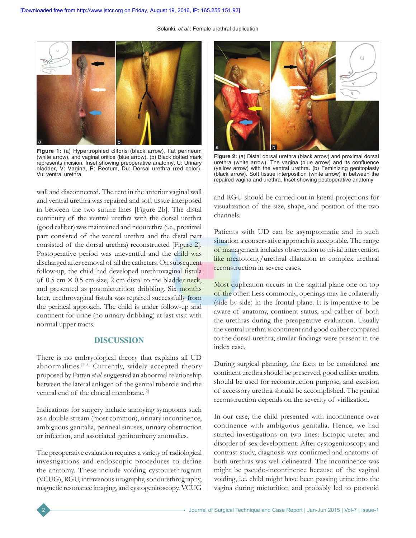Solanki, *et al*.: Female urethral duplication



Figure 1: (a) Hypertrophied clitoris (black arrow), flat perineum (white arrow), and vaginal orifice (blue arrow). (b) Black dotted mark represents incision. Inset showing preoperative anatomy. U: Urinary bladder, V: Vagina, R: Rectum, Du: Dorsal urethra (red color), Vu: ventral urethra

wall and disconnected. The rent in the anterior vaginal wall and ventral urethra was repaired and soft tissue interposed in between the two suture lines [Figure 2b]. The distal continuity of the ventral urethra with the dorsal urethra (good caliber) was maintained and neourethra (i.e., proximal part consisted of the ventral urethra and the distal part consisted of the dorsal urethra) reconstructed [Figure 2]. Postoperative period was uneventful and the child was discharged after removal of all the catheters. On subsequent follow‑up, the child had developed urethrovaginal fistula of 0.5 cm  $\times$  0.5 cm size, 2 cm distal to the bladder neck, and presented as postmicturition dribbling. Six months later, urethrovaginal fistula was repaired successfully from the perineal approach. The child is under follow-up and continent for urine (no urinary dribbling) at last visit with normal upper tracts.

# **DISCUSSION**

There is no embryological theory that explains all UD abnormalities.<sup>[3-5]</sup> Currently, widely accepted theory proposed by Patten *et al*. suggested an abnormal relationship between the lateral anlagen of the genital tubercle and the ventral end of the cloacal membrane.[2]

Indications for surgery include annoying symptoms such as a double stream (most common), urinary incontinence, ambiguous genitalia, perineal sinuses, urinary obstruction or infection, and associated genitourinary anomalies.

The preoperative evaluation requires a variety of radiological investigations and endoscopic procedures to define the anatomy. These include voiding cystourethrogram (VCUG), RGU, intravenous urography, sonourethrography, magnetic resonance imaging, and cystogenitoscopy. VCUG



**Figure 2:** (a) Distal dorsal urethra (black arrow) and proximal dorsal urethra (white arrow). The vagina (blue arrow) and its confluence (yellow arrow) with the ventral urethra. (b) Feminizing genitoplasty (black arrow). Soft tissue interposition (white arrow) in between the repaired vagina and urethra. Inset showing postoperative anatomy

and RGU should be carried out in lateral projections for visualization of the size, shape, and position of the two channels.

Patients with UD can be asymptomatic and in such situation a conservative approach is acceptable. The range of management includes observation to trivial intervention like meatotomy/urethral dilatation to complex urethral reconstruction in severe cases.

Most duplication occurs in the sagittal plane one on top of the other. Less commonly, openings may lie collaterally (side by side) in the frontal plane. It is imperative to be aware of anatomy, continent status, and caliber of both the urethras during the preoperative evaluation. Usually the ventral urethra is continent and good caliber compared to the dorsal urethra; similar findings were present in the index case.

During surgical planning, the facts to be considered are continent urethra should be preserved, good caliber urethra should be used for reconstruction purpose, and excision of accessory urethra should be accomplished. The genital reconstruction depends on the severity of virilization.

In our case, the child presented with incontinence over continence with ambiguous genitalia. Hence, we had started investigations on two lines: Ectopic ureter and disorder of sex development. After cystogenitoscopy and contrast study, diagnosis was confirmed and anatomy of both urethras was well delineated. The incontinence was might be pseudo-incontinence because of the vaginal voiding, i.e. child might have been passing urine into the vagina during micturition and probably led to postvoid